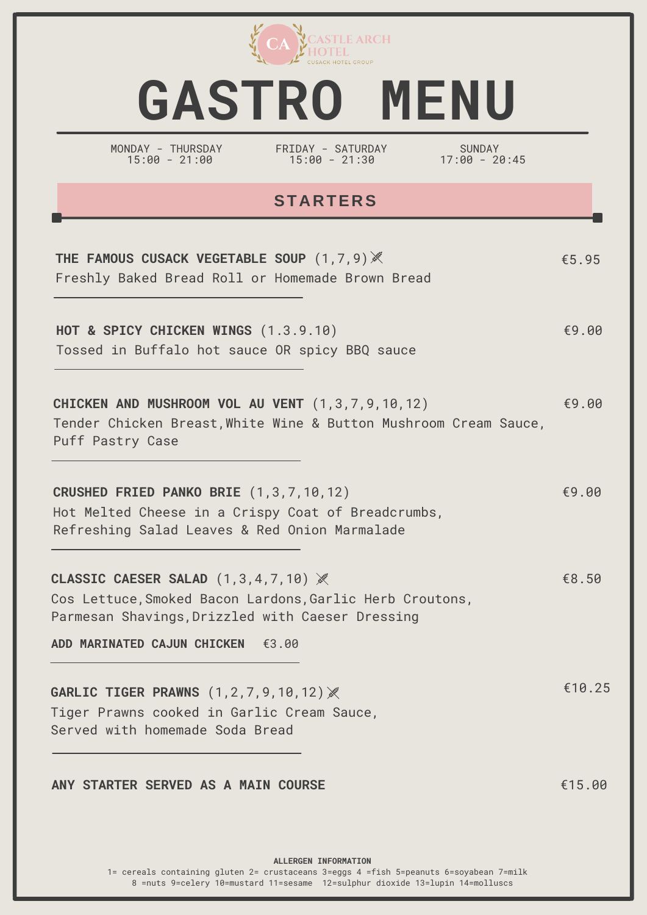

# **GASTRO MENU**

MONDAY - THURSDAY 15:00 - 21:00

FRIDAY - SATURDAY 15:00 - 21:30

SUNDAY 17:00 - 20:45

### **STARTERS**

| THE FAMOUS CUSACK VEGETABLE SOUP (1,7,9) X<br>Freshly Baked Bread Roll or Homemade Brown Bread                                                               | € $5.95$ |
|--------------------------------------------------------------------------------------------------------------------------------------------------------------|----------|
| HOT & SPICY CHICKEN WINGS (1.3.9.10)<br>Tossed in Buffalo hot sauce OR spicy BBQ sauce                                                                       | €9.00    |
| CHICKEN AND MUSHROOM VOL AU VENT (1,3,7,9,10,12)<br>Tender Chicken Breast, White Wine & Button Mushroom Cream Sauce,<br>Puff Pastry Case                     | €9.00    |
| CRUSHED FRIED PANKO BRIE (1,3,7,10,12)<br>Hot Melted Cheese in a Crispy Coat of Breadcrumbs,<br>Refreshing Salad Leaves & Red Onion Marmalade                | €9.00    |
| CLASSIC CAESER SALAD $(1,3,4,7,10)$ $\aleph$<br>Cos Lettuce, Smoked Bacon Lardons, Garlic Herb Croutons,<br>Parmesan Shavings, Drizzled with Caeser Dressing | €8.50    |
| ADD MARINATED CAJUN CHICKEN €3.00                                                                                                                            |          |
| <b>GARLIC TIGER PRAWNS (1,2,7,9,10,12)※</b><br>Tiger Prawns cooked in Garlic Cream Sauce,<br>Served with homemade Soda Bread                                 | €10.25   |
| ANY STARTER SERVED AS A MAIN COURSE                                                                                                                          | €15.00   |

**ALLERGEN INFORMATION** 1= cereals containing gluten 2= crustaceans 3=eggs 4 =fish 5=peanuts 6=soyabean 7=milk 8 =nuts 9=celery 10=mustard 11=sesame 12=sulphur dioxide 13=lupin 14=molluscs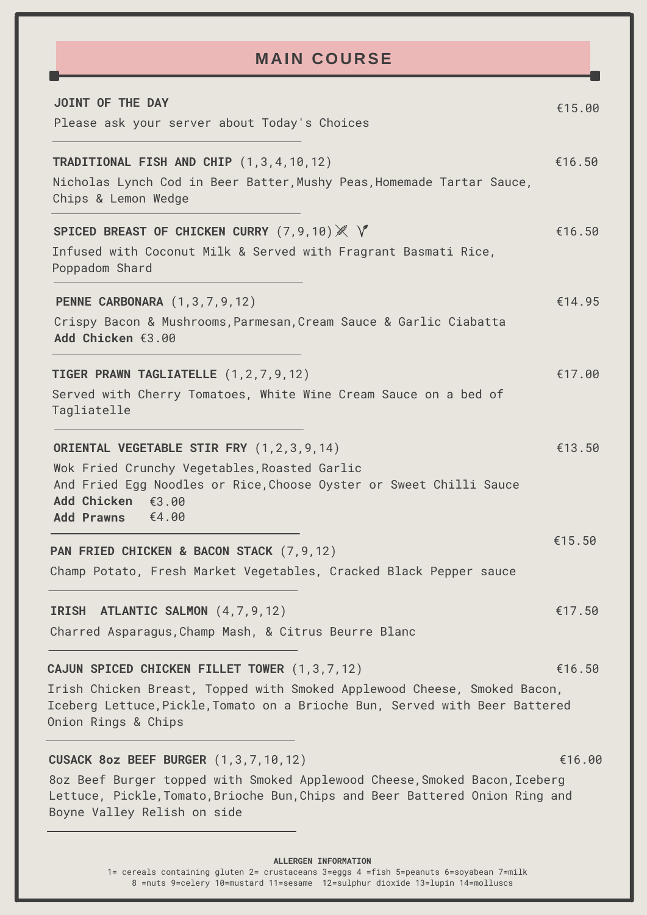## **M AIN COURSE**

| JOINT OF THE DAY<br>Please ask your server about Today's Choices                                                                                                                                                                         | €15.00 |
|------------------------------------------------------------------------------------------------------------------------------------------------------------------------------------------------------------------------------------------|--------|
| TRADITIONAL FISH AND CHIP (1,3,4,10,12)<br>Nicholas Lynch Cod in Beer Batter, Mushy Peas, Homemade Tartar Sauce,<br>Chips & Lemon Wedge                                                                                                  | €16.50 |
| SPICED BREAST OF CHICKEN CURRY (7,9,10) ※ V<br>Infused with Coconut Milk & Served with Fragrant Basmati Rice,<br>Poppadom Shard                                                                                                          | €16.50 |
| <b>PENNE CARBONARA</b> (1,3,7,9,12)<br>Crispy Bacon & Mushrooms, Parmesan, Cream Sauce & Garlic Ciabatta<br>Add Chicken €3.00                                                                                                            | €14.95 |
| TIGER PRAWN TAGLIATELLE (1,2,7,9,12)<br>Served with Cherry Tomatoes, White Wine Cream Sauce on a bed of<br>Tagliatelle                                                                                                                   | €17.00 |
| ORIENTAL VEGETABLE STIR FRY (1,2,3,9,14)<br>Wok Fried Crunchy Vegetables, Roasted Garlic<br>And Fried Egg Noodles or Rice, Choose Oyster or Sweet Chilli Sauce<br>Add Chicken €3.00<br>€4.00<br><b>Add Prawns</b>                        | €13.50 |
| PAN FRIED CHICKEN & BACON STACK (7,9,12)<br>Champ Potato, Fresh Market Vegetables, Cracked Black Pepper sauce                                                                                                                            | €15.50 |
| IRISH ATLANTIC SALMON (4,7,9,12)<br>Charred Asparagus, Champ Mash, & Citrus Beurre Blanc                                                                                                                                                 | €17.50 |
| CAJUN SPICED CHICKEN FILLET TOWER (1,3,7,12)<br>Irish Chicken Breast, Topped with Smoked Applewood Cheese, Smoked Bacon,<br>Iceberg Lettuce, Pickle, Tomato on a Brioche Bun, Served with Beer Battered<br>Onion Rings & Chips           | €16.50 |
| <b>CUSACK 8oz BEEF BURGER (1,3,7,10,12)</b><br>8oz Beef Burger topped with Smoked Applewood Cheese, Smoked Bacon, Iceberg<br>Lettuce, Pickle, Tomato, Brioche Bun, Chips and Beer Battered Onion Ring and<br>Boyne Valley Relish on side | €16.00 |
|                                                                                                                                                                                                                                          |        |